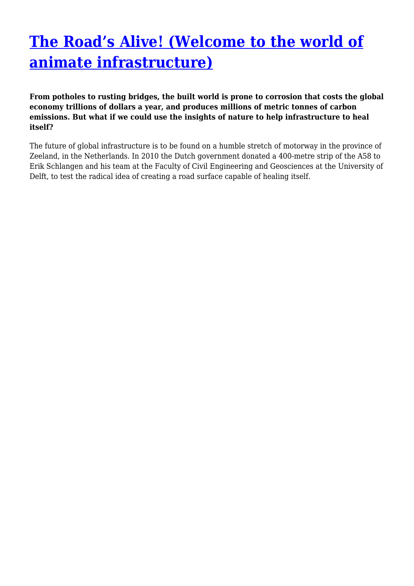## **[The Road's Alive! \(Welcome to the world of](https://www.sacredgroves.earth/blog/the-roads-alive-welcome-to-the-world-of-animate-infrastructure/) [animate infrastructure\)](https://www.sacredgroves.earth/blog/the-roads-alive-welcome-to-the-world-of-animate-infrastructure/)**

**From potholes to rusting bridges, the built world is prone to corrosion that costs the global economy trillions of dollars a year, and produces millions of metric tonnes of carbon emissions. But what if we could use the insights of nature to help infrastructure to heal itself?**

The future of global infrastructure is to be found on a humble stretch of motorway in the province of Zeeland, in the Netherlands. In 2010 the Dutch government donated a 400-metre strip of the A58 to Erik Schlangen and his team at the Faculty of Civil Engineering and Geosciences at the University of Delft, to test the radical idea of creating a road surface capable of healing itself.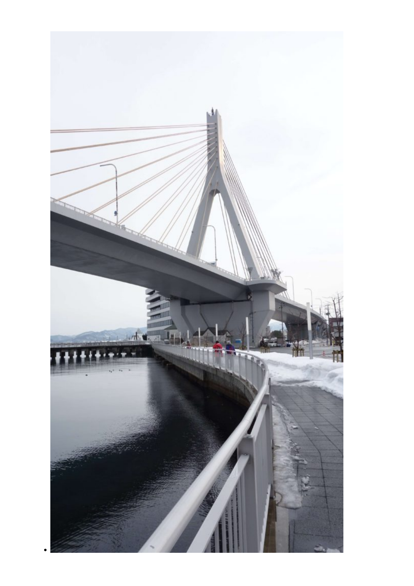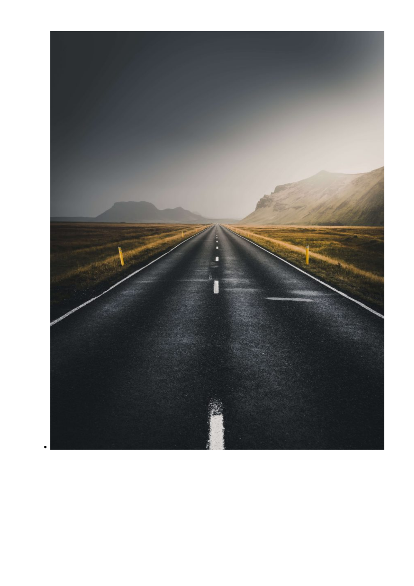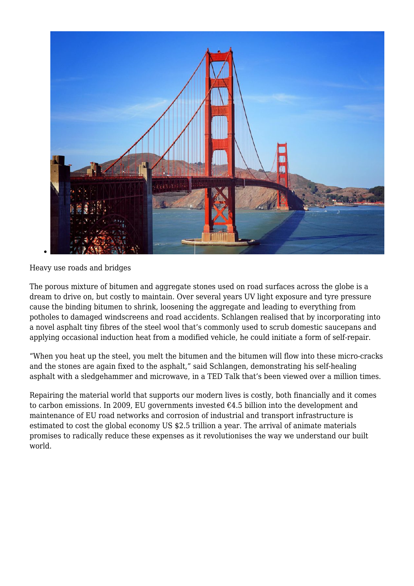

Heavy use roads and bridges

The porous mixture of bitumen and aggregate stones used on road surfaces across the globe is a dream to drive on, but costly to maintain. Over several years UV light exposure and tyre pressure cause the binding bitumen to shrink, loosening the aggregate and leading to everything from potholes to damaged windscreens and road accidents. Schlangen realised that by incorporating into a novel asphalt tiny fibres of the steel wool that's commonly used to scrub domestic saucepans and applying occasional induction heat from a modified vehicle, he could initiate a form of self-repair.

"When you heat up the steel, you melt the bitumen and the bitumen will flow into these micro-cracks and the stones are again fixed to the asphalt," said Schlangen, demonstrating his self-healing asphalt with a sledgehammer and microwave, in a TED Talk that's been viewed over a million times.

Repairing the material world that supports our modern lives is costly, both financially and it comes to carbon emissions. In 2009, EU governments invested  $64.5$  billion into the development and maintenance of EU road networks and corrosion of industrial and transport infrastructure is estimated to cost the global economy US \$2.5 trillion a year. The arrival of animate materials promises to radically reduce these expenses as it revolutionises the way we understand our built world.